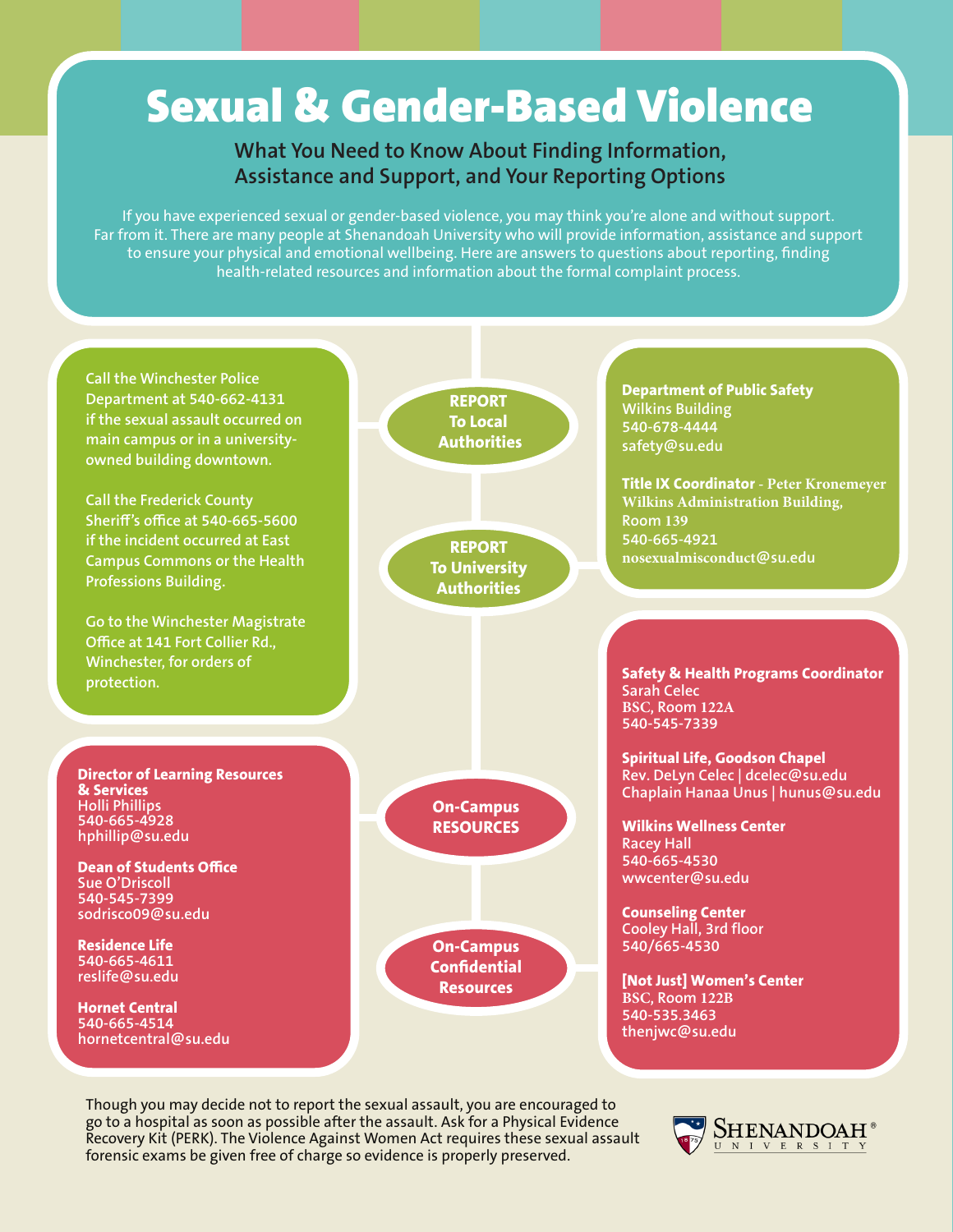## Sexual & Gender-Based Violence

## **What You Need to Know About Finding Information, Assistance and Support, and Your Reporting Options**

If you have experienced sexual or gender-based violence, you may think you're alone and without support. Far from it. There are many people at Shenandoah University who will provide information, assistance and support to ensure your physical and emotional wellbeing. Here are answers to questions about reporting, finding health-related resources and information about the formal complaint process.



Though you may decide not to report the sexual assault, you are encouraged to go to a hospital as soon as possible after the assault. Ask for a Physical Evidence Recovery Kit (PERK). The Violence Against Women Act requires these sexual assault forensic exams be given free of charge so evidence is properly preserved.